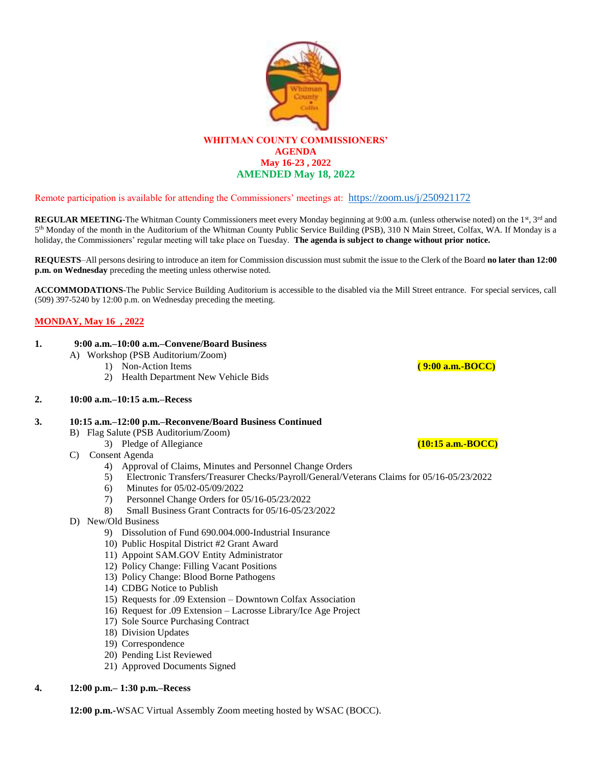

## Remote participation is available for attending the Commissioners' meetings at: <https://zoom.us/j/250921172>

**REGULAR MEETING-The Whitman County Commissioners meet every Monday beginning at 9:00 a.m. (unless otherwise noted) on the 1st, 3rd and** 5<sup>th</sup> Monday of the month in the Auditorium of the Whitman County Public Service Building (PSB), 310 N Main Street, Colfax, WA. If Monday is a holiday, the Commissioners' regular meeting will take place on Tuesday. **The agenda is subject to change without prior notice.**

**REQUESTS**–All persons desiring to introduce an item for Commission discussion must submit the issue to the Clerk of the Board **no later than 12:00 p.m. on Wednesday** preceding the meeting unless otherwise noted.

**ACCOMMODATIONS**-The Public Service Building Auditorium is accessible to the disabled via the Mill Street entrance. For special services, call (509) 397-5240 by 12:00 p.m. on Wednesday preceding the meeting.

## **MONDAY, May 16 , 2022**

#### **1. 9:00 a.m.–10:00 a.m.–Convene/Board Business**

- A) Workshop (PSB Auditorium/Zoom)
	- 1) Non-Action Items **( 9:00 a.m.-BOCC)**
	- 2) Health Department New Vehicle Bids

## **2. 10:00 a.m.–10:15 a.m.–Recess**

## **3. 10:15 a.m.–12:00 p.m.–Reconvene/Board Business Continued**

- B) Flag Salute (PSB Auditorium/Zoom)
	- 3) Pledge of Allegiance **(10:15 a.m.-BOCC)**

## C) Consent Agenda

- 4) Approval of Claims, Minutes and Personnel Change Orders
- 5) Electronic Transfers/Treasurer Checks/Payroll/General/Veterans Claims for 05/16-05/23/2022
- 6) Minutes for 05/02-05/09/2022
- 7) Personnel Change Orders for 05/16-05/23/2022
- 8) Small Business Grant Contracts for 05/16-05/23/2022
- D) New/Old Business
	- 9) Dissolution of Fund 690.004.000-Industrial Insurance
	- 10) Public Hospital District #2 Grant Award
	- 11) Appoint SAM.GOV Entity Administrator
	- 12) Policy Change: Filling Vacant Positions
	- 13) Policy Change: Blood Borne Pathogens
	- 14) CDBG Notice to Publish
	- 15) Requests for .09 Extension Downtown Colfax Association
	- 16) Request for .09 Extension Lacrosse Library/Ice Age Project
	- 17) Sole Source Purchasing Contract
	- 18) Division Updates
	- 19) Correspondence
	- 20) Pending List Reviewed
	- 21) Approved Documents Signed
- **4. 12:00 p.m.– 1:30 p.m.–Recess**

**12:00 p.m.-**WSAC Virtual Assembly Zoom meeting hosted by WSAC (BOCC).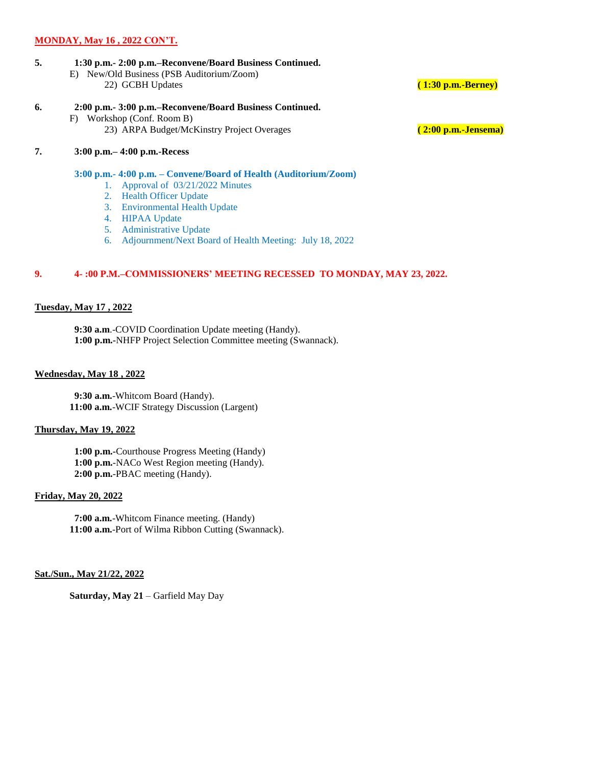## **MONDAY, May 16 , 2022 CON'T.**

- **5. 1:30 p.m.- 2:00 p.m.–Reconvene/Board Business Continued.**
	- E) New/Old Business (PSB Auditorium/Zoom) 22) GCBH Updates **( 1:30 p.m.-Berney)**
		-
- **6. 2:00 p.m.- 3:00 p.m.–Reconvene/Board Business Continued.**
	- F) Workshop (Conf. Room B) 23) ARPA Budget/McKinstry Project Overages **( 2:00 p.m.-Jensema)**

## **7. 3:00 p.m.– 4:00 p.m.-Recess**

 **3:00 p.m.- 4:00 p.m. – Convene/Board of Health (Auditorium/Zoom)**

- 1. Approval of 03/21/2022 Minutes
- 2. Health Officer Update
- 3. Environmental Health Update
- 4. HIPAA Update
- 5. Administrative Update
- 6. Adjournment/Next Board of Health Meeting: July 18, 2022

## **9. 4- :00 P.M.–COMMISSIONERS' MEETING RECESSED TO MONDAY, MAY 23, 2022.**

## **Tuesday, May 17 , 2022**

 **9:30 a.m**.-COVID Coordination Update meeting (Handy). **1:00 p.m.-**NHFP Project Selection Committee meeting (Swannack).

## **Wednesday, May 18 , 2022**

 **9:30 a.m.**-Whitcom Board (Handy). **11:00 a.m.**-WCIF Strategy Discussion (Largent)

#### **Thursday, May 19, 2022**

 **1:00 p.m.-**Courthouse Progress Meeting (Handy) **1:00 p.m.**-NACo West Region meeting (Handy). **2:00 p.m.**-PBAC meeting (Handy).

## **Friday, May 20, 2022**

 **7:00 a.m.**-Whitcom Finance meeting. (Handy) **11:00 a.m.**-Port of Wilma Ribbon Cutting (Swannack).

#### **Sat./Sun., May 21/22, 2022**

**Saturday, May 21** – Garfield May Day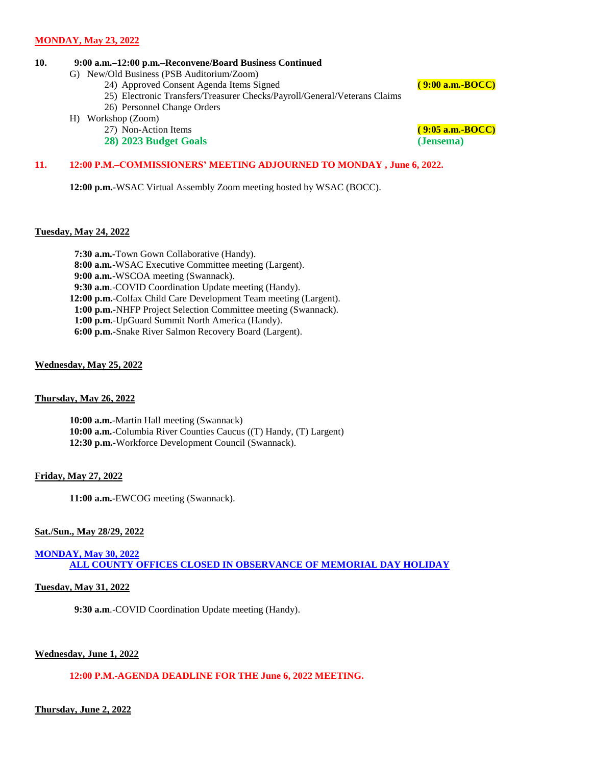## **10. 9:00 a.m.–12:00 p.m.–Reconvene/Board Business Continued**

- G) New/Old Business (PSB Auditorium/Zoom)
	- 24) Approved Consent Agenda Items Signed **( 9:00 a.m.-BOCC)**
	- 25) Electronic Transfers/Treasurer Checks/Payroll/General/Veterans Claims
	- 26) Personnel Change Orders
- H) Workshop (Zoom)
	- 27) Non-Action Items **( 9:05 a.m.-BOCC)**
	- **28) 2023 Budget Goals (Jensema)**

## **11. 12:00 P.M.–COMMISSIONERS' MEETING ADJOURNED TO MONDAY , June 6, 2022.**

**12:00 p.m.-**WSAC Virtual Assembly Zoom meeting hosted by WSAC (BOCC).

## **Tuesday, May 24, 2022**

 **7:30 a.m.-**Town Gown Collaborative (Handy).  **8:00 a.m.**-WSAC Executive Committee meeting (Largent).  **9:00 a.m.**-WSCOA meeting (Swannack).  **9:30 a.m**.-COVID Coordination Update meeting (Handy). **12:00 p.m.**-Colfax Child Care Development Team meeting (Largent). **1:00 p.m.-**NHFP Project Selection Committee meeting (Swannack). **1:00 p.m.**-UpGuard Summit North America (Handy). **6:00 p.m.-**Snake River Salmon Recovery Board (Largent).

## **Wednesday, May 25, 2022**

## **Thursday, May 26, 2022**

**10:00 a.m.-**Martin Hall meeting (Swannack) **10:00 a.m.**-Columbia River Counties Caucus ((T) Handy, (T) Largent) **12:30 p.m.-**Workforce Development Council (Swannack).

#### **Friday, May 27, 2022**

**11:00 a.m.-**EWCOG meeting (Swannack).

#### **Sat./Sun., May 28/29, 2022**

**MONDAY, May 30, 2022 ALL COUNTY OFFICES CLOSED IN OBSERVANCE OF MEMORIAL DAY HOLIDAY**

## **Tuesday, May 31, 2022**

 **9:30 a.m**.-COVID Coordination Update meeting (Handy).

## **Wednesday, June 1, 2022**

## **12:00 P.M.-AGENDA DEADLINE FOR THE June 6, 2022 MEETING.**

## **Thursday, June 2, 2022**